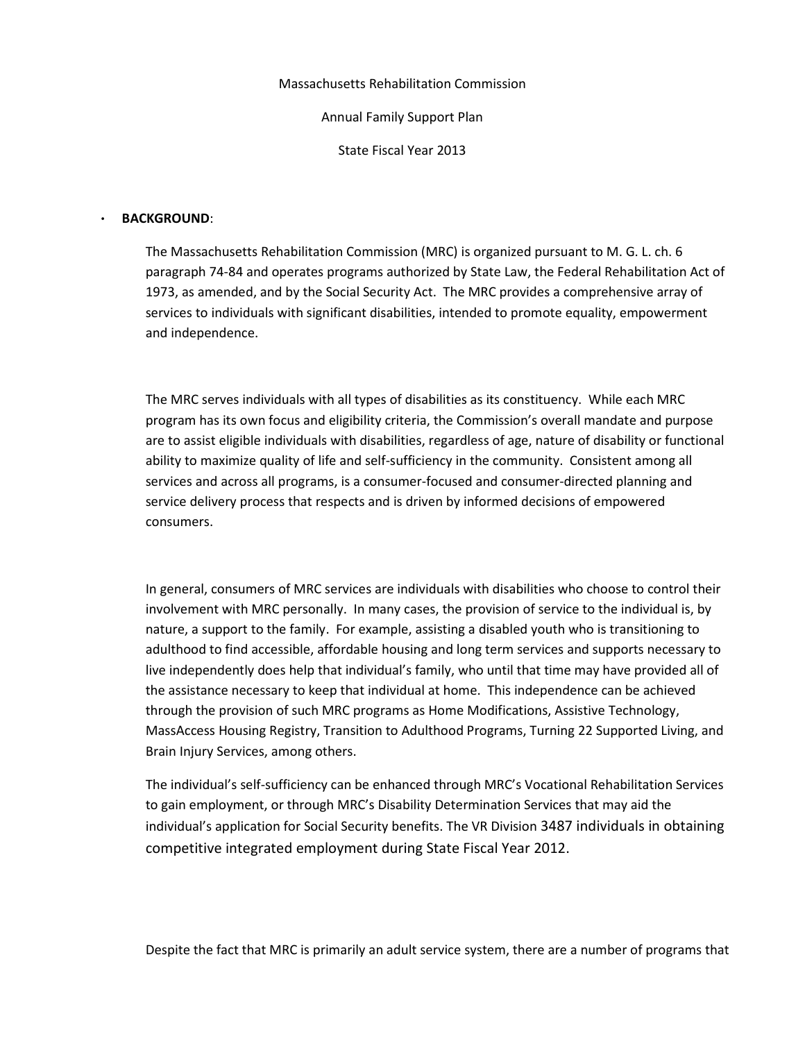Massachusetts Rehabilitation Commission

Annual Family Support Plan

State Fiscal Year 2013

#### • BACKGROUND:

The Massachusetts Rehabilitation Commission (MRC) is organized pursuant to M. G. L. ch. 6 paragraph 74-84 and operates programs authorized by State Law, the Federal Rehabilitation Act of 1973, as amended, and by the Social Security Act. The MRC provides a comprehensive array of services to individuals with significant disabilities, intended to promote equality, empowerment and independence.

The MRC serves individuals with all types of disabilities as its constituency. While each MRC program has its own focus and eligibility criteria, the Commission's overall mandate and purpose are to assist eligible individuals with disabilities, regardless of age, nature of disability or functional ability to maximize quality of life and self-sufficiency in the community. Consistent among all services and across all programs, is a consumer-focused and consumer-directed planning and service delivery process that respects and is driven by informed decisions of empowered consumers.

In general, consumers of MRC services are individuals with disabilities who choose to control their involvement with MRC personally. In many cases, the provision of service to the individual is, by nature, a support to the family. For example, assisting a disabled youth who is transitioning to adulthood to find accessible, affordable housing and long term services and supports necessary to live independently does help that individual's family, who until that time may have provided all of the assistance necessary to keep that individual at home. This independence can be achieved through the provision of such MRC programs as Home Modifications, Assistive Technology, MassAccess Housing Registry, Transition to Adulthood Programs, Turning 22 Supported Living, and Brain Injury Services, among others.

The individual's self-sufficiency can be enhanced through MRC's Vocational Rehabilitation Services to gain employment, or through MRC's Disability Determination Services that may aid the individual's application for Social Security benefits. The VR Division 3487 individuals in obtaining competitive integrated employment during State Fiscal Year 2012.

Despite the fact that MRC is primarily an adult service system, there are a number of programs that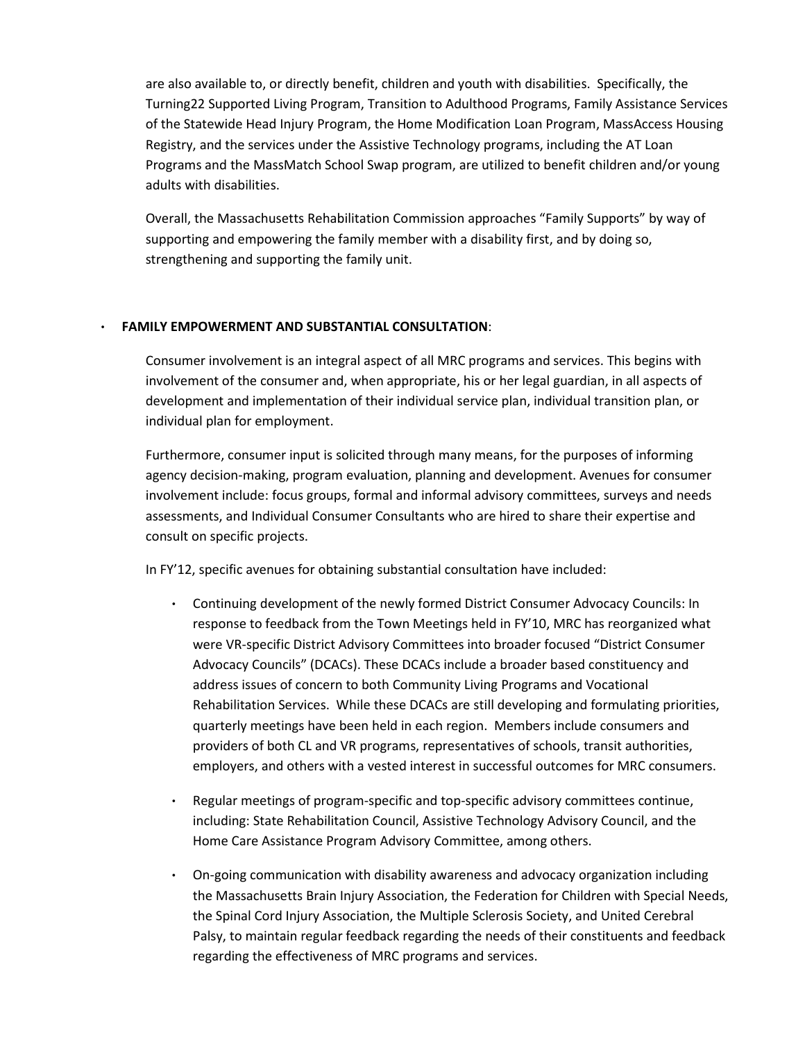are also available to, or directly benefit, children and youth with disabilities. Specifically, the Turning22 Supported Living Program, Transition to Adulthood Programs, Family Assistance Services of the Statewide Head Injury Program, the Home Modification Loan Program, MassAccess Housing Registry, and the services under the Assistive Technology programs, including the AT Loan Programs and the MassMatch School Swap program, are utilized to benefit children and/or young adults with disabilities.

Overall, the Massachusetts Rehabilitation Commission approaches "Family Supports" by way of supporting and empowering the family member with a disability first, and by doing so, strengthening and supporting the family unit.

### • FAMILY EMPOWERMENT AND SUBSTANTIAL CONSULTATION:

Consumer involvement is an integral aspect of all MRC programs and services. This begins with involvement of the consumer and, when appropriate, his or her legal guardian, in all aspects of development and implementation of their individual service plan, individual transition plan, or individual plan for employment.

Furthermore, consumer input is solicited through many means, for the purposes of informing agency decision-making, program evaluation, planning and development. Avenues for consumer involvement include: focus groups, formal and informal advisory committees, surveys and needs assessments, and Individual Consumer Consultants who are hired to share their expertise and consult on specific projects.

In FY'12, specific avenues for obtaining substantial consultation have included:

- Continuing development of the newly formed District Consumer Advocacy Councils: In response to feedback from the Town Meetings held in FY'10, MRC has reorganized what were VR-specific District Advisory Committees into broader focused "District Consumer Advocacy Councils" (DCACs). These DCACs include a broader based constituency and address issues of concern to both Community Living Programs and Vocational Rehabilitation Services. While these DCACs are still developing and formulating priorities, quarterly meetings have been held in each region. Members include consumers and providers of both CL and VR programs, representatives of schools, transit authorities, employers, and others with a vested interest in successful outcomes for MRC consumers.
- Regular meetings of program-specific and top-specific advisory committees continue, including: State Rehabilitation Council, Assistive Technology Advisory Council, and the Home Care Assistance Program Advisory Committee, among others.
- On-going communication with disability awareness and advocacy organization including the Massachusetts Brain Injury Association, the Federation for Children with Special Needs, the Spinal Cord Injury Association, the Multiple Sclerosis Society, and United Cerebral Palsy, to maintain regular feedback regarding the needs of their constituents and feedback regarding the effectiveness of MRC programs and services.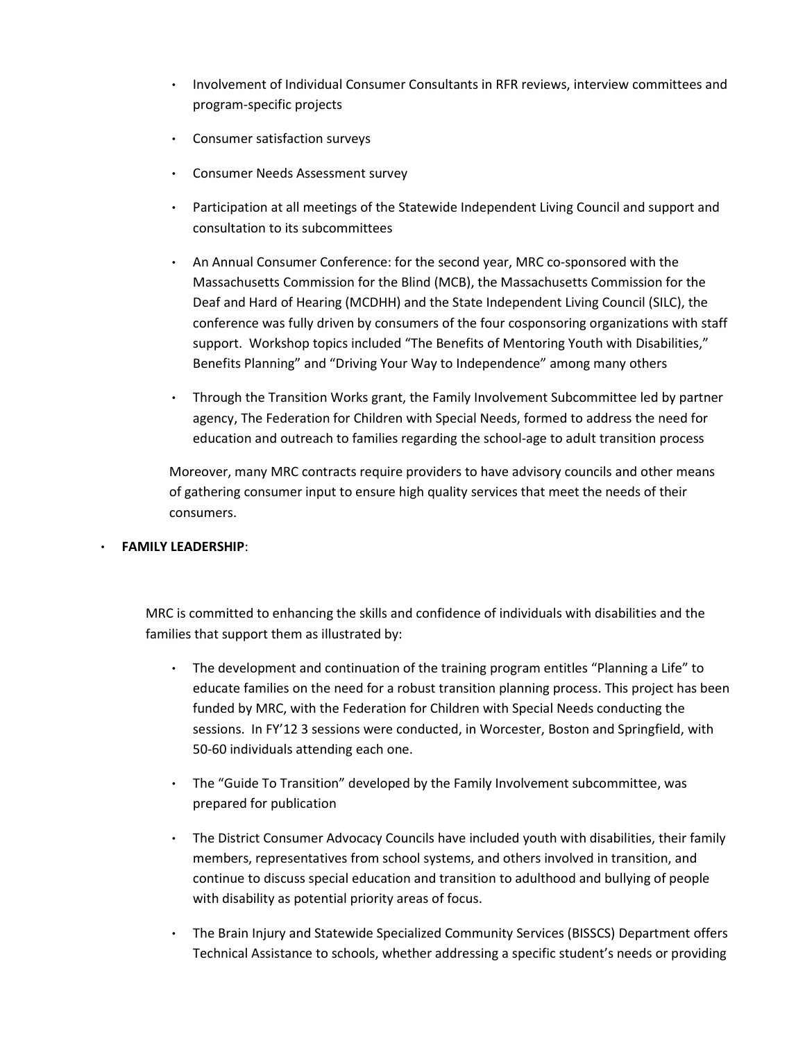- Involvement of Individual Consumer Consultants in RFR reviews, interview committees and program-specific projects
- Consumer satisfaction surveys
- Consumer Needs Assessment survey
- Participation at all meetings of the Statewide Independent Living Council and support and consultation to its subcommittees
- An Annual Consumer Conference: for the second year, MRC co-sponsored with the Massachusetts Commission for the Blind (MCB), the Massachusetts Commission for the Deaf and Hard of Hearing (MCDHH) and the State Independent Living Council (SILC), the conference was fully driven by consumers of the four cosponsoring organizations with staff support. Workshop topics included "The Benefits of Mentoring Youth with Disabilities," Benefits Planning" and "Driving Your Way to Independence" among many others
- Through the Transition Works grant, the Family Involvement Subcommittee led by partner agency, The Federation for Children with Special Needs, formed to address the need for education and outreach to families regarding the school-age to adult transition process

Moreover, many MRC contracts require providers to have advisory councils and other means of gathering consumer input to ensure high quality services that meet the needs of their consumers.

# • FAMILY LEADERSHIP:

MRC is committed to enhancing the skills and confidence of individuals with disabilities and the families that support them as illustrated by:

- The development and continuation of the training program entitles "Planning a Life" to educate families on the need for a robust transition planning process. This project has been funded by MRC, with the Federation for Children with Special Needs conducting the sessions. In FY'12 3 sessions were conducted, in Worcester, Boston and Springfield, with 50-60 individuals attending each one.
- The "Guide To Transition" developed by the Family Involvement subcommittee, was prepared for publication
- The District Consumer Advocacy Councils have included youth with disabilities, their family members, representatives from school systems, and others involved in transition, and continue to discuss special education and transition to adulthood and bullying of people with disability as potential priority areas of focus.
- The Brain Injury and Statewide Specialized Community Services (BISSCS) Department offers Technical Assistance to schools, whether addressing a specific student's needs or providing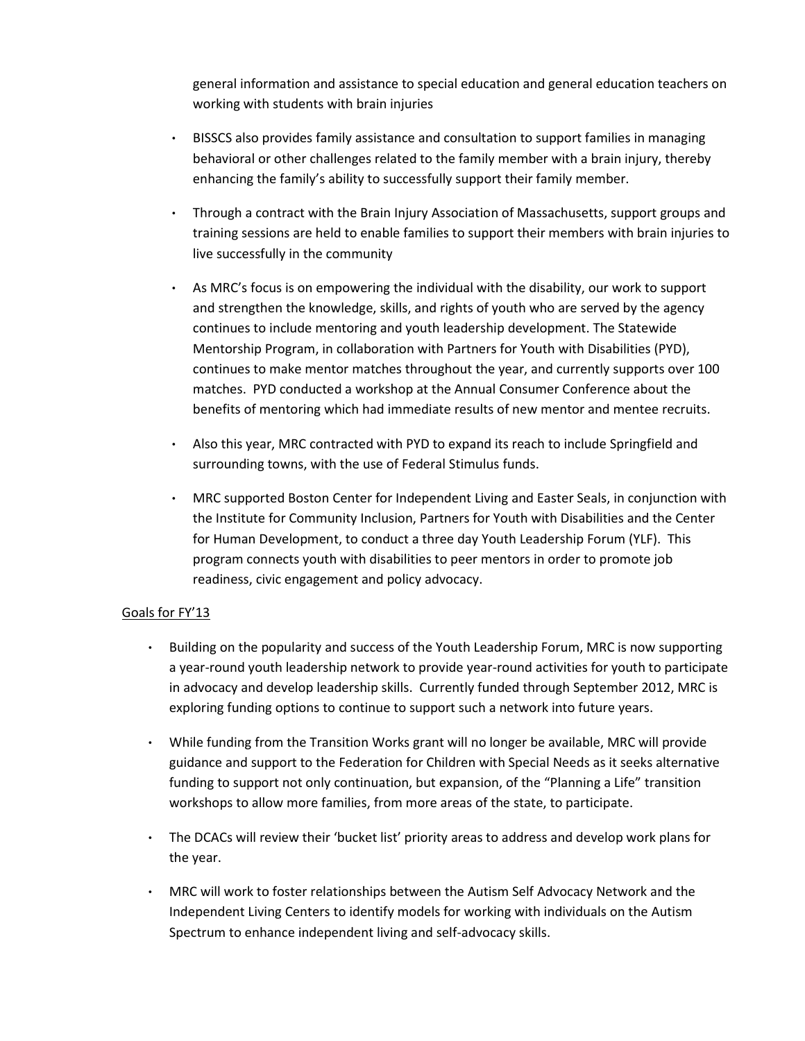general information and assistance to special education and general education teachers on working with students with brain injuries

- BISSCS also provides family assistance and consultation to support families in managing behavioral or other challenges related to the family member with a brain injury, thereby enhancing the family's ability to successfully support their family member.
- Through a contract with the Brain Injury Association of Massachusetts, support groups and training sessions are held to enable families to support their members with brain injuries to live successfully in the community
- As MRC's focus is on empowering the individual with the disability, our work to support and strengthen the knowledge, skills, and rights of youth who are served by the agency continues to include mentoring and youth leadership development. The Statewide Mentorship Program, in collaboration with Partners for Youth with Disabilities (PYD), continues to make mentor matches throughout the year, and currently supports over 100 matches. PYD conducted a workshop at the Annual Consumer Conference about the benefits of mentoring which had immediate results of new mentor and mentee recruits.
- Also this year, MRC contracted with PYD to expand its reach to include Springfield and surrounding towns, with the use of Federal Stimulus funds.
- MRC supported Boston Center for Independent Living and Easter Seals, in conjunction with the Institute for Community Inclusion, Partners for Youth with Disabilities and the Center for Human Development, to conduct a three day Youth Leadership Forum (YLF). This program connects youth with disabilities to peer mentors in order to promote job readiness, civic engagement and policy advocacy.

# Goals for FY'13

- Building on the popularity and success of the Youth Leadership Forum, MRC is now supporting a year-round youth leadership network to provide year-round activities for youth to participate in advocacy and develop leadership skills. Currently funded through September 2012, MRC is exploring funding options to continue to support such a network into future years.
- While funding from the Transition Works grant will no longer be available, MRC will provide guidance and support to the Federation for Children with Special Needs as it seeks alternative funding to support not only continuation, but expansion, of the "Planning a Life" transition workshops to allow more families, from more areas of the state, to participate.
- The DCACs will review their 'bucket list' priority areas to address and develop work plans for the year.
- MRC will work to foster relationships between the Autism Self Advocacy Network and the Independent Living Centers to identify models for working with individuals on the Autism Spectrum to enhance independent living and self-advocacy skills.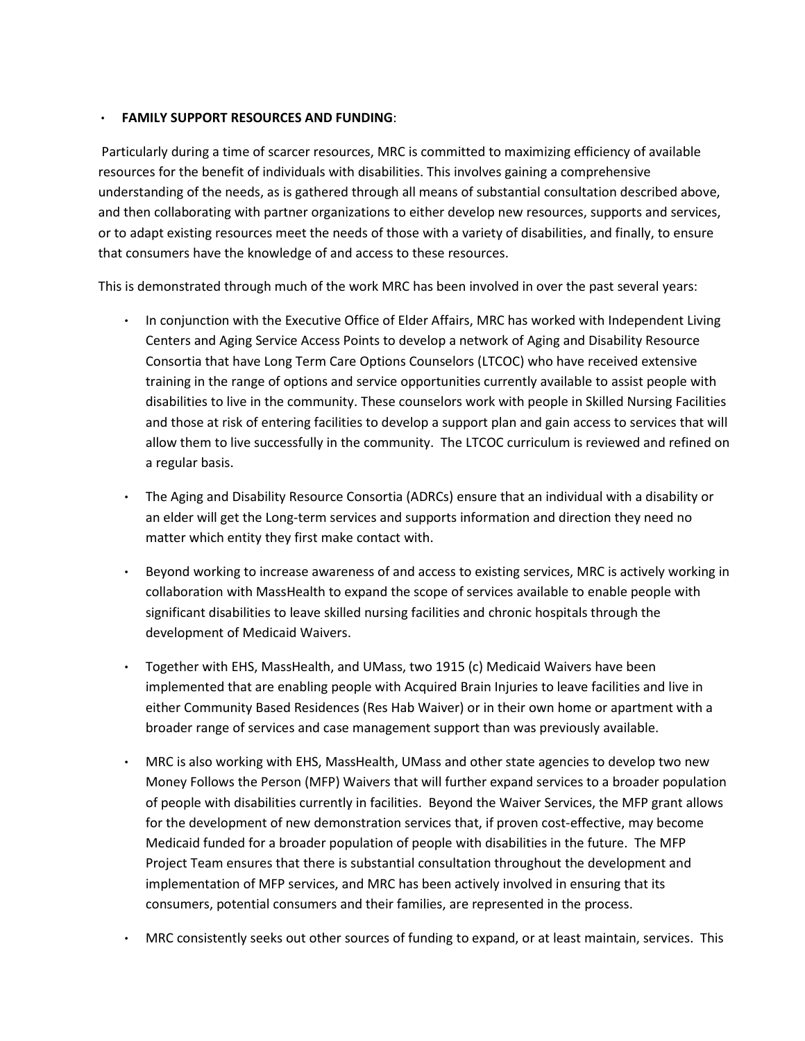### • FAMILY SUPPORT RESOURCES AND FUNDING:

 Particularly during a time of scarcer resources, MRC is committed to maximizing efficiency of available resources for the benefit of individuals with disabilities. This involves gaining a comprehensive understanding of the needs, as is gathered through all means of substantial consultation described above, and then collaborating with partner organizations to either develop new resources, supports and services, or to adapt existing resources meet the needs of those with a variety of disabilities, and finally, to ensure that consumers have the knowledge of and access to these resources.

This is demonstrated through much of the work MRC has been involved in over the past several years:

- In conjunction with the Executive Office of Elder Affairs, MRC has worked with Independent Living Centers and Aging Service Access Points to develop a network of Aging and Disability Resource Consortia that have Long Term Care Options Counselors (LTCOC) who have received extensive training in the range of options and service opportunities currently available to assist people with disabilities to live in the community. These counselors work with people in Skilled Nursing Facilities and those at risk of entering facilities to develop a support plan and gain access to services that will allow them to live successfully in the community. The LTCOC curriculum is reviewed and refined on a regular basis.
- The Aging and Disability Resource Consortia (ADRCs) ensure that an individual with a disability or an elder will get the Long-term services and supports information and direction they need no matter which entity they first make contact with.
- Beyond working to increase awareness of and access to existing services, MRC is actively working in collaboration with MassHealth to expand the scope of services available to enable people with significant disabilities to leave skilled nursing facilities and chronic hospitals through the development of Medicaid Waivers.
- Together with EHS, MassHealth, and UMass, two 1915 (c) Medicaid Waivers have been implemented that are enabling people with Acquired Brain Injuries to leave facilities and live in either Community Based Residences (Res Hab Waiver) or in their own home or apartment with a broader range of services and case management support than was previously available.
- MRC is also working with EHS, MassHealth, UMass and other state agencies to develop two new Money Follows the Person (MFP) Waivers that will further expand services to a broader population of people with disabilities currently in facilities. Beyond the Waiver Services, the MFP grant allows for the development of new demonstration services that, if proven cost-effective, may become Medicaid funded for a broader population of people with disabilities in the future. The MFP Project Team ensures that there is substantial consultation throughout the development and implementation of MFP services, and MRC has been actively involved in ensuring that its consumers, potential consumers and their families, are represented in the process.
- MRC consistently seeks out other sources of funding to expand, or at least maintain, services. This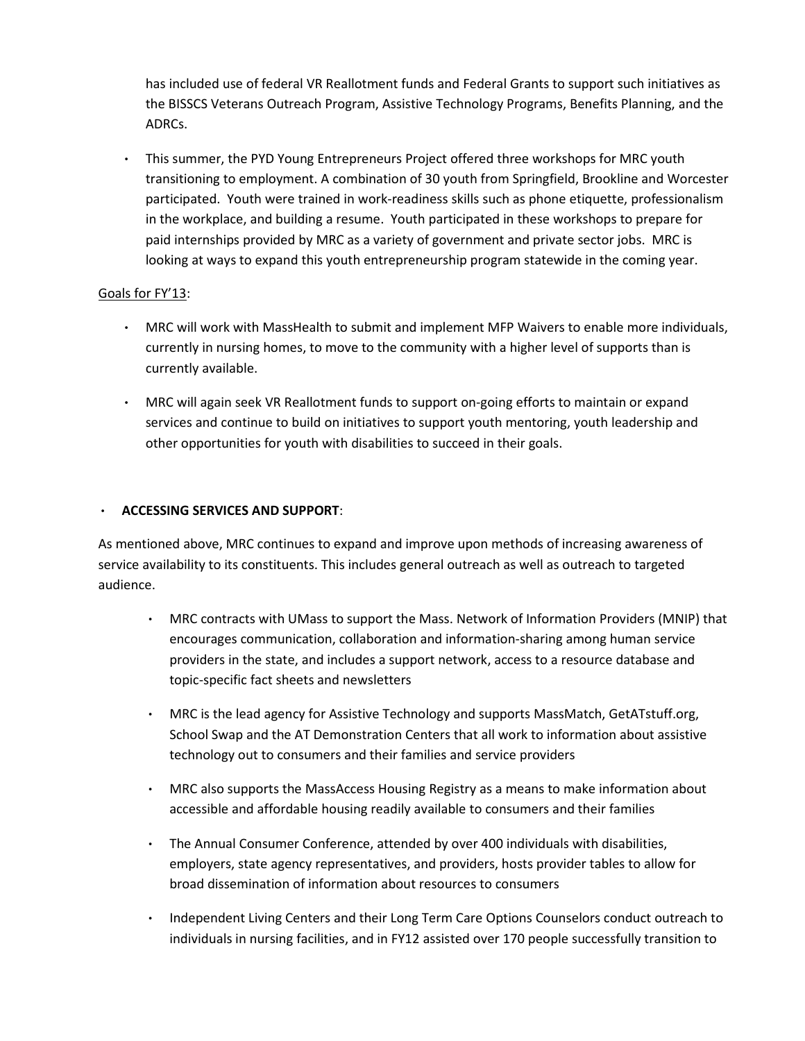has included use of federal VR Reallotment funds and Federal Grants to support such initiatives as the BISSCS Veterans Outreach Program, Assistive Technology Programs, Benefits Planning, and the ADRCs.

• This summer, the PYD Young Entrepreneurs Project offered three workshops for MRC youth transitioning to employment. A combination of 30 youth from Springfield, Brookline and Worcester participated. Youth were trained in work-readiness skills such as phone etiquette, professionalism in the workplace, and building a resume. Youth participated in these workshops to prepare for paid internships provided by MRC as a variety of government and private sector jobs. MRC is looking at ways to expand this youth entrepreneurship program statewide in the coming year.

# Goals for FY'13:

- MRC will work with MassHealth to submit and implement MFP Waivers to enable more individuals, currently in nursing homes, to move to the community with a higher level of supports than is currently available.
- MRC will again seek VR Reallotment funds to support on-going efforts to maintain or expand services and continue to build on initiatives to support youth mentoring, youth leadership and other opportunities for youth with disabilities to succeed in their goals.

# • ACCESSING SERVICES AND SUPPORT:

As mentioned above, MRC continues to expand and improve upon methods of increasing awareness of service availability to its constituents. This includes general outreach as well as outreach to targeted audience.

- MRC contracts with UMass to support the Mass. Network of Information Providers (MNIP) that encourages communication, collaboration and information-sharing among human service providers in the state, and includes a support network, access to a resource database and topic-specific fact sheets and newsletters
- MRC is the lead agency for Assistive Technology and supports MassMatch, GetATstuff.org, School Swap and the AT Demonstration Centers that all work to information about assistive technology out to consumers and their families and service providers
- MRC also supports the MassAccess Housing Registry as a means to make information about accessible and affordable housing readily available to consumers and their families
- The Annual Consumer Conference, attended by over 400 individuals with disabilities, employers, state agency representatives, and providers, hosts provider tables to allow for broad dissemination of information about resources to consumers
- Independent Living Centers and their Long Term Care Options Counselors conduct outreach to individuals in nursing facilities, and in FY12 assisted over 170 people successfully transition to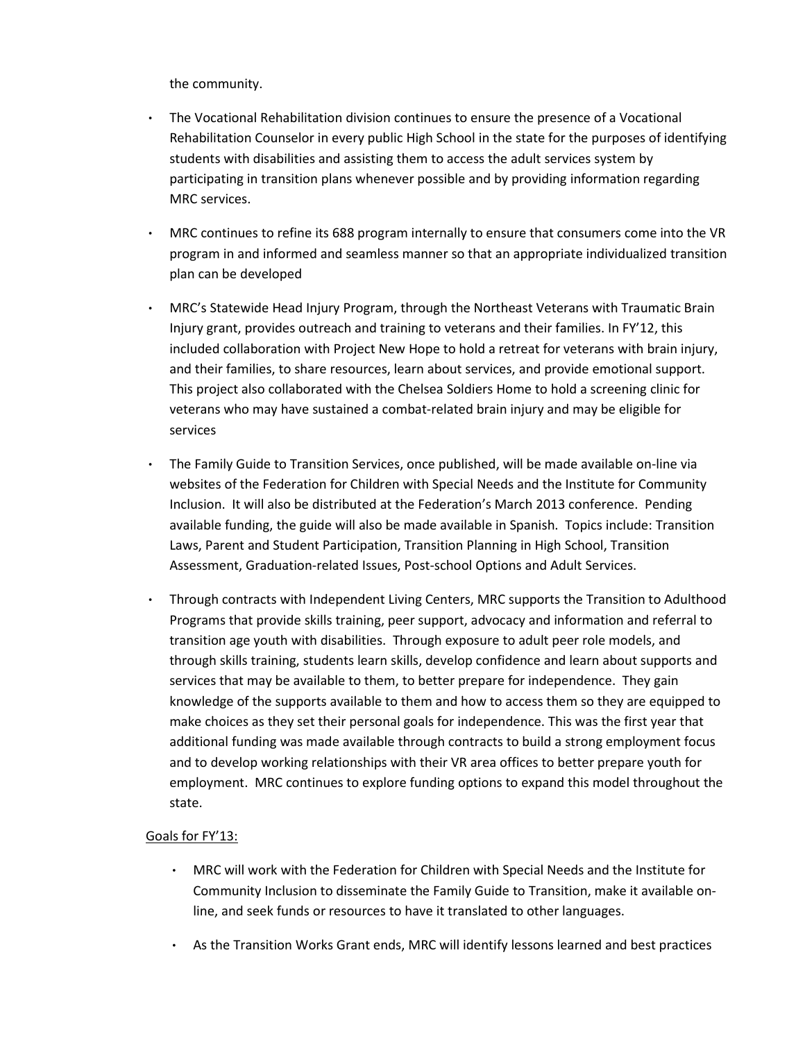the community.

- The Vocational Rehabilitation division continues to ensure the presence of a Vocational Rehabilitation Counselor in every public High School in the state for the purposes of identifying students with disabilities and assisting them to access the adult services system by participating in transition plans whenever possible and by providing information regarding MRC services.
- MRC continues to refine its 688 program internally to ensure that consumers come into the VR program in and informed and seamless manner so that an appropriate individualized transition plan can be developed
- MRC's Statewide Head Injury Program, through the Northeast Veterans with Traumatic Brain Injury grant, provides outreach and training to veterans and their families. In FY'12, this included collaboration with Project New Hope to hold a retreat for veterans with brain injury, and their families, to share resources, learn about services, and provide emotional support. This project also collaborated with the Chelsea Soldiers Home to hold a screening clinic for veterans who may have sustained a combat-related brain injury and may be eligible for services
- The Family Guide to Transition Services, once published, will be made available on-line via websites of the Federation for Children with Special Needs and the Institute for Community Inclusion. It will also be distributed at the Federation's March 2013 conference. Pending available funding, the guide will also be made available in Spanish. Topics include: Transition Laws, Parent and Student Participation, Transition Planning in High School, Transition Assessment, Graduation-related Issues, Post-school Options and Adult Services.
- Through contracts with Independent Living Centers, MRC supports the Transition to Adulthood Programs that provide skills training, peer support, advocacy and information and referral to transition age youth with disabilities. Through exposure to adult peer role models, and through skills training, students learn skills, develop confidence and learn about supports and services that may be available to them, to better prepare for independence. They gain knowledge of the supports available to them and how to access them so they are equipped to make choices as they set their personal goals for independence. This was the first year that additional funding was made available through contracts to build a strong employment focus and to develop working relationships with their VR area offices to better prepare youth for employment. MRC continues to explore funding options to expand this model throughout the state.

# Goals for FY'13:

- MRC will work with the Federation for Children with Special Needs and the Institute for Community Inclusion to disseminate the Family Guide to Transition, make it available online, and seek funds or resources to have it translated to other languages.
- As the Transition Works Grant ends, MRC will identify lessons learned and best practices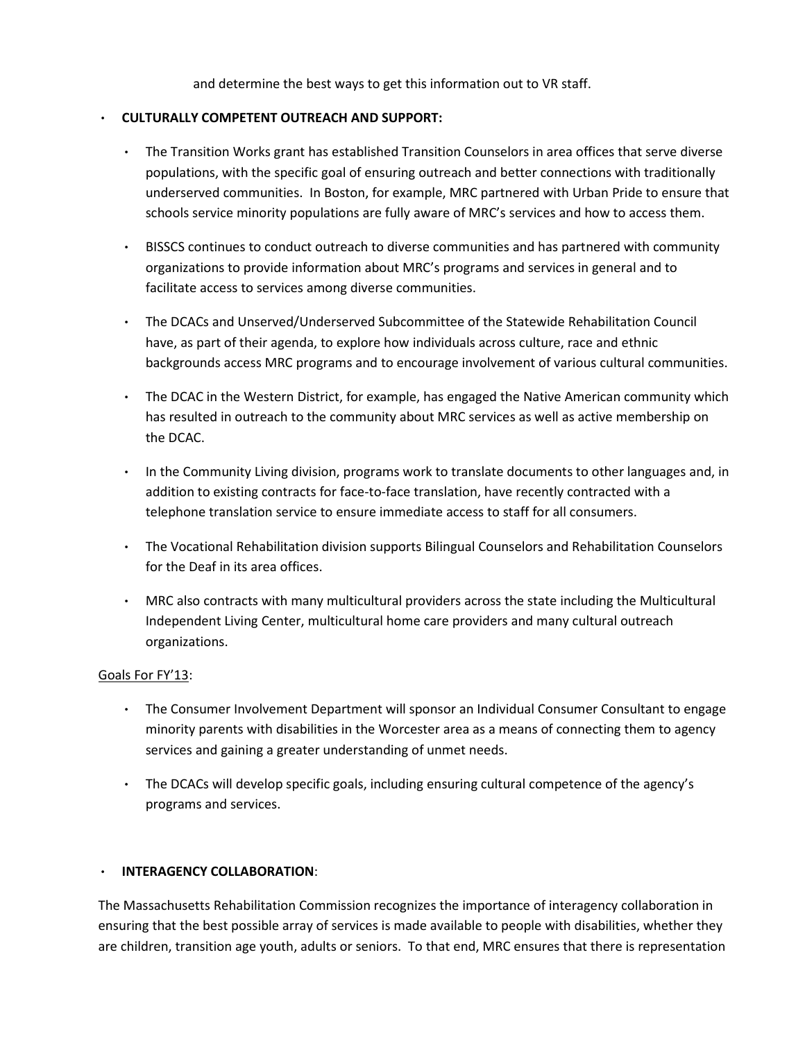and determine the best ways to get this information out to VR staff.

### • CULTURALLY COMPETENT OUTREACH AND SUPPORT:

- The Transition Works grant has established Transition Counselors in area offices that serve diverse populations, with the specific goal of ensuring outreach and better connections with traditionally underserved communities. In Boston, for example, MRC partnered with Urban Pride to ensure that schools service minority populations are fully aware of MRC's services and how to access them.
- BISSCS continues to conduct outreach to diverse communities and has partnered with community organizations to provide information about MRC's programs and services in general and to facilitate access to services among diverse communities.
- The DCACs and Unserved/Underserved Subcommittee of the Statewide Rehabilitation Council have, as part of their agenda, to explore how individuals across culture, race and ethnic backgrounds access MRC programs and to encourage involvement of various cultural communities.
- The DCAC in the Western District, for example, has engaged the Native American community which has resulted in outreach to the community about MRC services as well as active membership on the DCAC.
- In the Community Living division, programs work to translate documents to other languages and, in addition to existing contracts for face-to-face translation, have recently contracted with a telephone translation service to ensure immediate access to staff for all consumers.
- The Vocational Rehabilitation division supports Bilingual Counselors and Rehabilitation Counselors for the Deaf in its area offices.
- MRC also contracts with many multicultural providers across the state including the Multicultural Independent Living Center, multicultural home care providers and many cultural outreach organizations.

# Goals For FY'13:

- The Consumer Involvement Department will sponsor an Individual Consumer Consultant to engage minority parents with disabilities in the Worcester area as a means of connecting them to agency services and gaining a greater understanding of unmet needs.
- The DCACs will develop specific goals, including ensuring cultural competence of the agency's programs and services.

# • INTERAGENCY COLLABORATION:

The Massachusetts Rehabilitation Commission recognizes the importance of interagency collaboration in ensuring that the best possible array of services is made available to people with disabilities, whether they are children, transition age youth, adults or seniors. To that end, MRC ensures that there is representation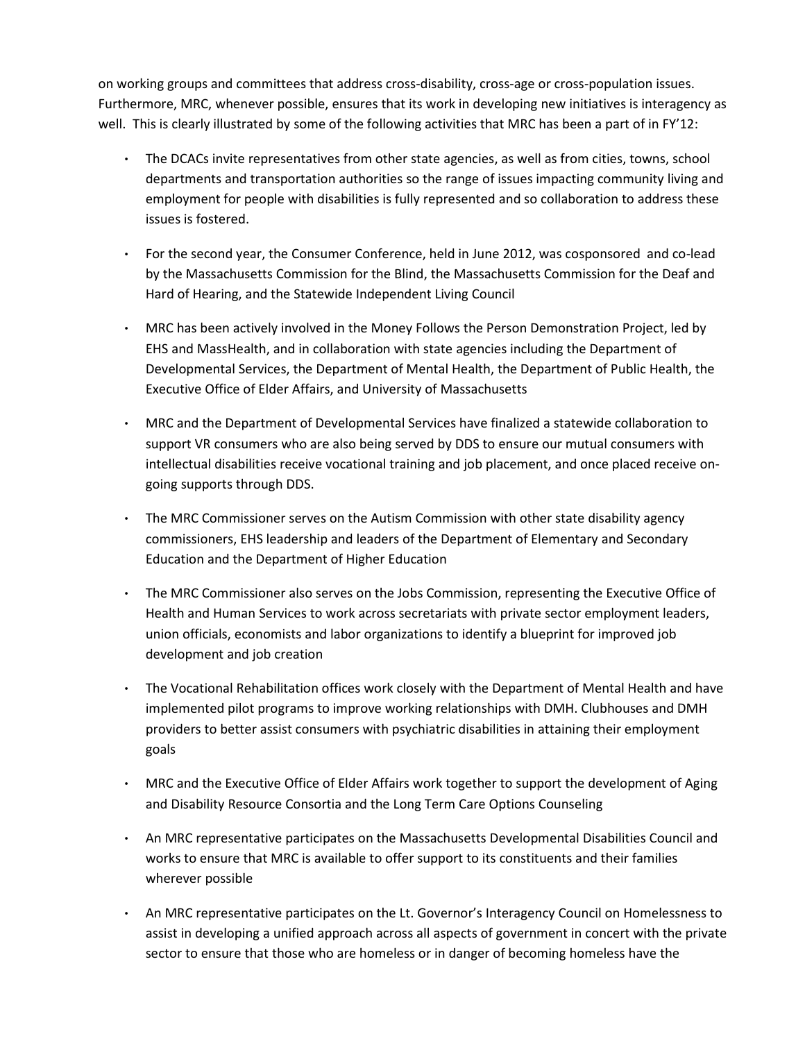on working groups and committees that address cross-disability, cross-age or cross-population issues. Furthermore, MRC, whenever possible, ensures that its work in developing new initiatives is interagency as well. This is clearly illustrated by some of the following activities that MRC has been a part of in FY'12:

- The DCACs invite representatives from other state agencies, as well as from cities, towns, school departments and transportation authorities so the range of issues impacting community living and employment for people with disabilities is fully represented and so collaboration to address these issues is fostered.
- For the second year, the Consumer Conference, held in June 2012, was cosponsored and co-lead by the Massachusetts Commission for the Blind, the Massachusetts Commission for the Deaf and Hard of Hearing, and the Statewide Independent Living Council
- MRC has been actively involved in the Money Follows the Person Demonstration Project, led by EHS and MassHealth, and in collaboration with state agencies including the Department of Developmental Services, the Department of Mental Health, the Department of Public Health, the Executive Office of Elder Affairs, and University of Massachusetts
- MRC and the Department of Developmental Services have finalized a statewide collaboration to support VR consumers who are also being served by DDS to ensure our mutual consumers with intellectual disabilities receive vocational training and job placement, and once placed receive ongoing supports through DDS.
- The MRC Commissioner serves on the Autism Commission with other state disability agency commissioners, EHS leadership and leaders of the Department of Elementary and Secondary Education and the Department of Higher Education
- The MRC Commissioner also serves on the Jobs Commission, representing the Executive Office of Health and Human Services to work across secretariats with private sector employment leaders, union officials, economists and labor organizations to identify a blueprint for improved job development and job creation
- The Vocational Rehabilitation offices work closely with the Department of Mental Health and have implemented pilot programs to improve working relationships with DMH. Clubhouses and DMH providers to better assist consumers with psychiatric disabilities in attaining their employment goals
- MRC and the Executive Office of Elder Affairs work together to support the development of Aging and Disability Resource Consortia and the Long Term Care Options Counseling
- An MRC representative participates on the Massachusetts Developmental Disabilities Council and works to ensure that MRC is available to offer support to its constituents and their families wherever possible
- An MRC representative participates on the Lt. Governor's Interagency Council on Homelessness to assist in developing a unified approach across all aspects of government in concert with the private sector to ensure that those who are homeless or in danger of becoming homeless have the